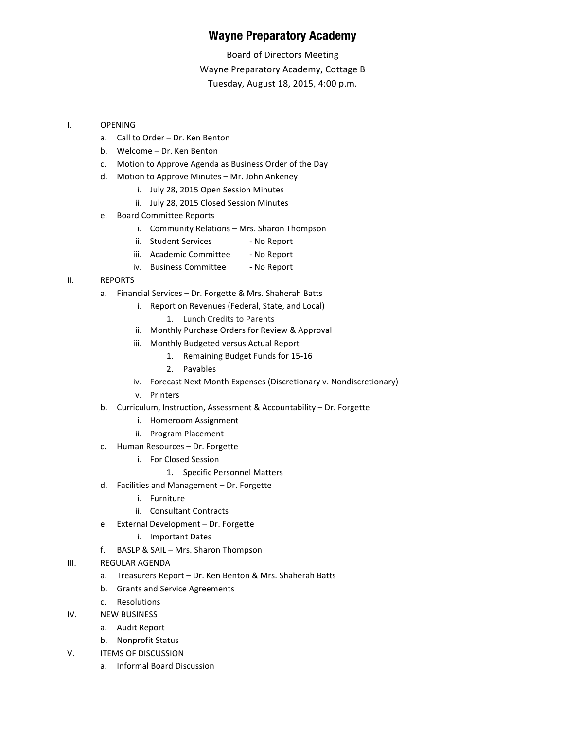## **Wayne Preparatory Academy**

Board of Directors Meeting Wayne Preparatory Academy, Cottage B Tuesday, August 18, 2015, 4:00 p.m.

## I. OPENING

- a. Call to Order Dr. Ken Benton
- b. Welcome Dr. Ken Benton
- c. Motion to Approve Agenda as Business Order of the Day
- d. Motion to Approve Minutes Mr. John Ankeney
	- i. July 28, 2015 Open Session Minutes
	- ii. July 28, 2015 Closed Session Minutes
- e. Board Committee Reports
	- i. Community Relations Mrs. Sharon Thompson
	- ii. Student Services No Report
	- iii. Academic Committee No Report
	- iv. Business Committee No Report

## II. REPORTS

- a. Financial Services Dr. Forgette & Mrs. Shaherah Batts
	- i. Report on Revenues (Federal, State, and Local)
		- 1. Lunch Credits to Parents
	- ii. Monthly Purchase Orders for Review & Approval
	- iii. Monthly Budgeted versus Actual Report
		- 1. Remaining Budget Funds for 15-16
		- 2. Payables
	- iv. Forecast Next Month Expenses (Discretionary v. Nondiscretionary)
	- v. Printers
- b. Curriculum, Instruction, Assessment & Accountability Dr. Forgette
	- i. Homeroom Assignment
	- ii. Program Placement
- c. Human Resources Dr. Forgette
	- i. For Closed Session
		- 1. Specific Personnel Matters
- d. Facilities and Management Dr. Forgette
	- i. Furniture
	- ii. Consultant Contracts
- e. External Development Dr. Forgette
	- i. Important Dates
- f. BASLP & SAIL Mrs. Sharon Thompson
- III. REGULAR AGENDA
	- a. Treasurers Report Dr. Ken Benton & Mrs. Shaherah Batts
	- b. Grants and Service Agreements
	- c. Resolutions
- IV. NEW BUSINESS
	- a. Audit Report
	- b. Nonprofit Status
- V. **ITEMS OF DISCUSSION** 
	- a. Informal Board Discussion